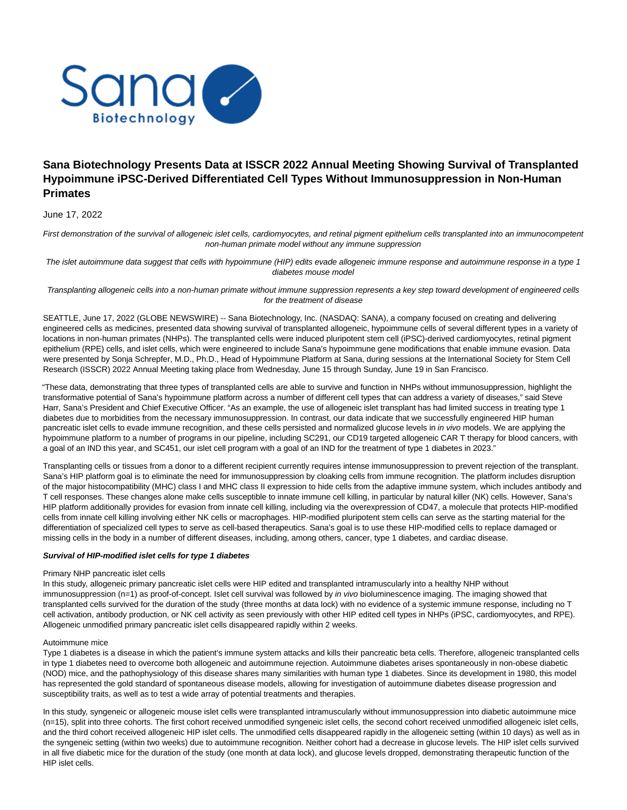

# **Sana Biotechnology Presents Data at ISSCR 2022 Annual Meeting Showing Survival of Transplanted Hypoimmune iPSC-Derived Differentiated Cell Types Without Immunosuppression in Non-Human Primates**

June 17, 2022

First demonstration of the survival of allogeneic islet cells, cardiomyocytes, and retinal pigment epithelium cells transplanted into an immunocompetent non-human primate model without any immune suppression

The islet autoimmune data suggest that cells with hypoimmune (HIP) edits evade allogeneic immune response and autoimmune response in a type 1 diabetes mouse model

Transplanting allogeneic cells into a non-human primate without immune suppression represents a key step toward development of engineered cells for the treatment of disease

SEATTLE, June 17, 2022 (GLOBE NEWSWIRE) -- Sana Biotechnology, Inc. (NASDAQ: SANA), a company focused on creating and delivering engineered cells as medicines, presented data showing survival of transplanted allogeneic, hypoimmune cells of several different types in a variety of locations in non-human primates (NHPs). The transplanted cells were induced pluripotent stem cell (iPSC)-derived cardiomyocytes, retinal pigment epithelium (RPE) cells, and islet cells, which were engineered to include Sana's hypoimmune gene modifications that enable immune evasion. Data were presented by Sonja Schrepfer, M.D., Ph.D., Head of Hypoimmune Platform at Sana, during sessions at the International Society for Stem Cell Research (ISSCR) 2022 Annual Meeting taking place from Wednesday, June 15 through Sunday, June 19 in San Francisco.

"These data, demonstrating that three types of transplanted cells are able to survive and function in NHPs without immunosuppression, highlight the transformative potential of Sana's hypoimmune platform across a number of different cell types that can address a variety of diseases," said Steve Harr, Sana's President and Chief Executive Officer. "As an example, the use of allogeneic islet transplant has had limited success in treating type 1 diabetes due to morbidities from the necessary immunosuppression. In contrast, our data indicate that we successfully engineered HIP human pancreatic islet cells to evade immune recognition, and these cells persisted and normalized glucose levels in in vivo models. We are applying the hypoimmune platform to a number of programs in our pipeline, including SC291, our CD19 targeted allogeneic CAR T therapy for blood cancers, with a goal of an IND this year, and SC451, our islet cell program with a goal of an IND for the treatment of type 1 diabetes in 2023."

Transplanting cells or tissues from a donor to a different recipient currently requires intense immunosuppression to prevent rejection of the transplant. Sana's HIP platform goal is to eliminate the need for immunosuppression by cloaking cells from immune recognition. The platform includes disruption of the major histocompatibility (MHC) class I and MHC class II expression to hide cells from the adaptive immune system, which includes antibody and T cell responses. These changes alone make cells susceptible to innate immune cell killing, in particular by natural killer (NK) cells. However, Sana's HIP platform additionally provides for evasion from innate cell killing, including via the overexpression of CD47, a molecule that protects HIP-modified cells from innate cell killing involving either NK cells or macrophages. HIP-modified pluripotent stem cells can serve as the starting material for the differentiation of specialized cell types to serve as cell-based therapeutics. Sana's goal is to use these HIP-modified cells to replace damaged or missing cells in the body in a number of different diseases, including, among others, cancer, type 1 diabetes, and cardiac disease.

## **Survival of HIP-modified islet cells for type 1 diabetes**

#### Primary NHP pancreatic islet cells

In this study, allogeneic primary pancreatic islet cells were HIP edited and transplanted intramuscularly into a healthy NHP without immunosuppression (n=1) as proof-of-concept. Islet cell survival was followed by in vivo bioluminescence imaging. The imaging showed that transplanted cells survived for the duration of the study (three months at data lock) with no evidence of a systemic immune response, including no T cell activation, antibody production, or NK cell activity as seen previously with other HIP edited cell types in NHPs (iPSC, cardiomyocytes, and RPE). Allogeneic unmodified primary pancreatic islet cells disappeared rapidly within 2 weeks.

#### Autoimmune mice

Type 1 diabetes is a disease in which the patient's immune system attacks and kills their pancreatic beta cells. Therefore, allogeneic transplanted cells in type 1 diabetes need to overcome both allogeneic and autoimmune rejection. Autoimmune diabetes arises spontaneously in non-obese diabetic (NOD) mice, and the pathophysiology of this disease shares many similarities with human type 1 diabetes. Since its development in 1980, this model has represented the gold standard of spontaneous disease models, allowing for investigation of autoimmune diabetes disease progression and susceptibility traits, as well as to test a wide array of potential treatments and therapies.

In this study, syngeneic or allogeneic mouse islet cells were transplanted intramuscularly without immunosuppression into diabetic autoimmune mice (n=15), split into three cohorts. The first cohort received unmodified syngeneic islet cells, the second cohort received unmodified allogeneic islet cells, and the third cohort received allogeneic HIP islet cells. The unmodified cells disappeared rapidly in the allogeneic setting (within 10 days) as well as in the syngeneic setting (within two weeks) due to autoimmune recognition. Neither cohort had a decrease in glucose levels. The HIP islet cells survived in all five diabetic mice for the duration of the study (one month at data lock), and glucose levels dropped, demonstrating therapeutic function of the HIP islet cells.